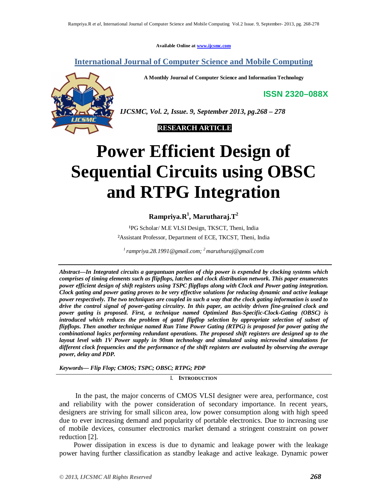**Available Online at www.ijcsmc.com**

**International Journal of Computer Science and Mobile Computing**

**A Monthly Journal of Computer Science and Information Technology**

**ISSN 2320–088X**



*IJCSMC, Vol. 2, Issue. 9, September 2013, pg.268 – 278*



# **Power Efficient Design of Sequential Circuits using OBSC and RTPG Integration**

**Rampriya.R<sup>1</sup> , Marutharaj.T<sup>2</sup>**

<sup>1</sup>PG Scholar/ M.E VLSI Design, TKSCT, Theni, India ²Assistant Professor, Department of ECE, TKCST, Theni, India

*1 rampriya.28.1991@gmail.com; <sup>2</sup>maruthuraj@gmail.com*

*Abstract—In Integrated circuits a gargantuan portion of chip power is expended by clocking systems which comprises of timing elements such as flipflops, latches and clock distribution network. This paper enumerates power efficient design of shift registers using TSPC flipflops along with Clock and Power gating integration. Clock gating and power gating proves to be very effective solutions for reducing dynamic and active leakage power respectively. The two techniques are coupled in such a way that the clock gating information is used to drive the control signal of power-gating circuitry. In this paper, an activity driven fine-grained clock and power gating is proposed. First, a technique named Optimized Bus-Specific-Clock-Gating (OBSC) is introduced which reduces the problem of gated flipflop selection by appropriate selection of subset of flipflops. Then another technique named Run Time Power Gating (RTPG) is proposed for power gating the combinational logics performing redundant operations. The proposed shift registers are designed up to the layout level with 1V Power supply in 90nm technology and simulated using microwind simulations for different clock frequencies and the performance of the shift registers are evaluated by observing the average power, delay and PDP.*

*Keywords— Flip Flop; CMOS; TSPC; OBSC; RTPG; PDP*

I. **INTRODUCTION**

 In the past, the major concerns of CMOS VLSI designer were area, performance, cost and reliability with the power consideration of secondary importance. In recent years, designers are striving for small silicon area, low power consumption along with high speed due to ever increasing demand and popularity of portable electronics. Due to increasing use of mobile devices, consumer electronics market demand a stringent constraint on power reduction [2].

 Power dissipation in excess is due to dynamic and leakage power with the leakage power having further classification as standby leakage and active leakage. Dynamic power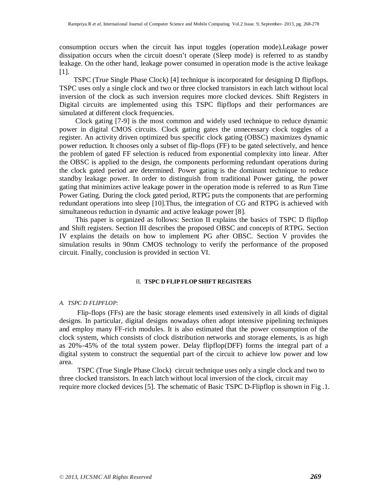consumption occurs when the circuit has input toggles (operation mode).Leakage power dissipation occurs when the circuit doesn't operate (Sleep mode) is referred to as standby leakage. On the other hand, leakage power consumed in operation mode is the active leakage [1].

 TSPC (True Single Phase Clock) [4] technique is incorporated for designing D flipflops. TSPC uses only a single clock and two or three clocked transistors in each latch without local inversion of the clock as such inversion requires more clocked devices. Shift Registers in Digital circuits are implemented using this TSPC flipflops and their performances are simulated at different clock frequencies.

 Clock gating [7-9] is the most common and widely used technique to reduce dynamic power in digital CMOS circuits. Clock gating gates the unnecessary clock toggles of a register. An activity driven optimized bus specific clock gating (OBSC) maximizes dynamic power reduction. It chooses only a subset of flip-flops (FF) to be gated selectively, and hence the problem of gated FF selection is reduced from exponential complexity into linear. After the OBSC is applied to the design, the components performing redundant operations during the clock gated period are determined. Power gating is the dominant technique to reduce standby leakage power. In order to distinguish from traditional Power gating, the power gating that minimizes active leakage power in the operation mode is referred to as Run Time Power Gating. During the clock gated period, RTPG puts the components that are performing redundant operations into sleep [10].Thus, the integration of CG and RTPG is achieved with simultaneous reduction in dynamic and active leakage power [8].

 This paper is organized as follows: Section II explains the basics of TSPC D flipflop and Shift registers. Section III describes the proposed OBSC and concepts of RTPG. Section IV explains the details on how to implement PG after OBSC. Section V provides the simulation results in 90nm CMOS technology to verify the performance of the proposed circuit. Finally, conclusion is provided in section VI.

## II. **TSPC D FLIP FLOP SHIFT REGISTERS**

## *A. TSPC D FLIPFLOP:*

 Flip-flops (FFs) are the basic storage elements used extensively in all kinds of digital designs. In particular, digital designs nowadays often adopt intensive pipelining techniques and employ many FF-rich modules. It is also estimated that the power consumption of the clock system, which consists of clock distribution networks and storage elements, is as high as 20%–45% of the total system power. Delay flipflop(DFF) forms the integral part of a digital system to construct the sequential part of the circuit to achieve low power and low area.

 TSPC (True Single Phase Clock) circuit technique uses only a single clock and two to three clocked transistors. In each latch without local inversion of the clock, circuit may require more clocked devices [5]. The schematic of Basic TSPC D-Flipflop is shown in Fig .1.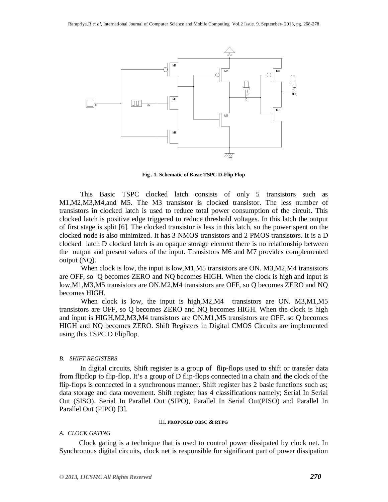

**Fig . 1. Schematic of Basic TSPC D-Flip Flop**

This Basic TSPC clocked latch consists of only 5 transistors such as M1,M2,M3,M4,and M5. The M3 transistor is clocked transistor. The less number of transistors in clocked latch is used to reduce total power consumption of the circuit. This clocked latch is positive edge triggered to reduce threshold voltages. In this latch the output of first stage is split [6]. The clocked transistor is less in this latch, so the power spent on the clocked node is also minimized. It has 3 NMOS transistors and 2 PMOS transistors. It is a D clocked latch D clocked latch is an opaque storage element there is no relationship between the output and present values of the input. Transistors M6 and M7 provides complemented output (NQ).

When clock is low, the input is low, M1, M5 transistors are ON. M3, M2, M4 transistors are OFF, so Q becomes ZERO and NQ becomes HIGH. When the clock is high and input is low,M1,M3,M5 transistors are ON.M2,M4 transistors are OFF, so Q becomes ZERO and NQ becomes HIGH.

When clock is low, the input is high, M2, M4 transistors are ON. M3, M1, M5 transistors are OFF, so Q becomes ZERO and NQ becomes HIGH. When the clock is high and input is HIGH,M2,M3,M4 transistors are ON.M1,M5 transistors are OFF. so Q becomes HIGH and NQ becomes ZERO. Shift Registers in Digital CMOS Circuits are implemented using this TSPC D Flipflop.

## *B. SHIFT REGISTERS*

 In digital circuits, Shift register is a group of flip-flops used to shift or transfer data from flipflop to flip-flop. It's a group of D flip-flops connected in a chain and the clock of the flip-flops is connected in a synchronous manner. Shift register has 2 basic functions such as; data storage and data movement. Shift register has 4 classifications namely; Serial In Serial Out (SISO), Serial In Parallel Out (SIPO), Parallel In Serial Out(PISO) and Parallel In Parallel Out (PIPO) [3].

#### III. **PROPOSED OBSC & RTPG**

#### *A. CLOCK GATING*

 Clock gating is a technique that is used to control power dissipated by clock net. In Synchronous digital circuits, clock net is responsible for significant part of power dissipation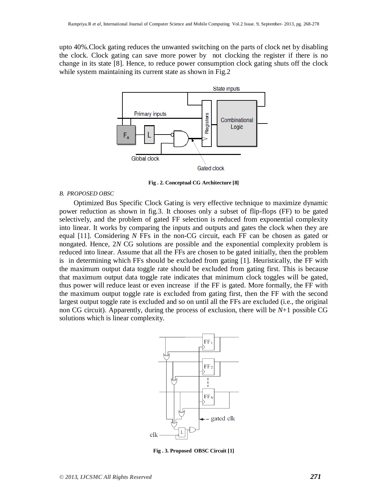upto 40%.Clock gating reduces the unwanted switching on the parts of clock net by disabling the clock. Clock gating can save more power by not clocking the register if there is no change in its state [8]. Hence, to reduce power consumption clock gating shuts off the clock while system maintaining its current state as shown in Fig.2



**Fig . 2. Conceptual CG Architecture [8]**

# *B. PROPOSED OBSC*

 Optimized Bus Specific Clock Gating is very effective technique to maximize dynamic power reduction as shown in fig.3. It chooses only a subset of flip-flops (FF) to be gated selectively, and the problem of gated FF selection is reduced from exponential complexity into linear. It works by comparing the inputs and outputs and gates the clock when they are equal [11]. Considering *N* FFs in the non-CG circuit, each FF can be chosen as gated or nongated. Hence, 2*N* CG solutions are possible and the exponential complexity problem is reduced into linear. Assume that all the FFs are chosen to be gated initially, then the problem is in determining which FFs should be excluded from gating [1]. Heuristically, the FF with the maximum output data toggle rate should be excluded from gating first. This is because that maximum output data toggle rate indicates that minimum clock toggles will be gated, thus power will reduce least or even increase if the FF is gated. More formally, the FF with the maximum output toggle rate is excluded from gating first, then the FF with the second largest output toggle rate is excluded and so on until all the FFs are excluded (i.e., the original non CG circuit). Apparently, during the process of exclusion, there will be *N*+1 possible CG solutions which is linear complexity.



**Fig . 3. Proposed OBSC Circuit [1]**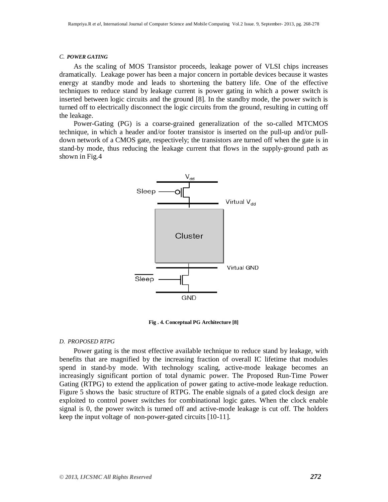#### *C. POWER GATING*

 As the scaling of MOS Transistor proceeds, leakage power of VLSI chips increases dramatically. Leakage power has been a major concern in portable devices because it wastes energy at standby mode and leads to shortening the battery life. One of the effective techniques to reduce stand by leakage current is power gating in which a power switch is inserted between logic circuits and the ground [8]. In the standby mode, the power switch is turned off to electrically disconnect the logic circuits from the ground, resulting in cutting off the leakage.

 Power-Gating (PG) is a coarse-grained generalization of the so-called MTCMOS technique, in which a header and/or footer transistor is inserted on the pull-up and/or pulldown network of a CMOS gate, respectively; the transistors are turned off when the gate is in stand-by mode, thus reducing the leakage current that flows in the supply-ground path as shown in Fig.4



**Fig . 4. Conceptual PG Architecture [8]**

## *D. PROPOSED RTPG*

 Power gating is the most effective available technique to reduce stand by leakage, with benefits that are magnified by the increasing fraction of overall IC lifetime that modules spend in stand-by mode. With technology scaling, active-mode leakage becomes an increasingly significant portion of total dynamic power. The Proposed Run-Time Power Gating (RTPG) to extend the application of power gating to active-mode leakage reduction. Figure 5 shows the basic structure of RTPG. The enable signals of a gated clock design are exploited to control power switches for combinational logic gates. When the clock enable signal is 0, the power switch is turned off and active-mode leakage is cut off. The holders keep the input voltage of non-power-gated circuits [10-11].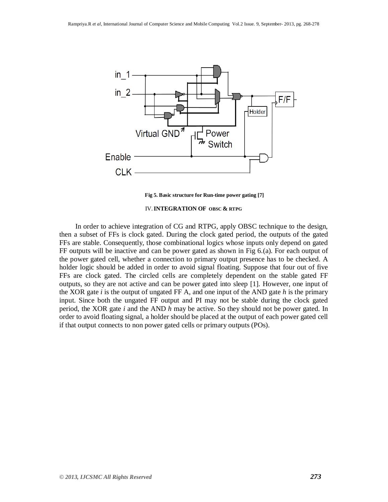

**Fig 5. Basic structure for Run-time power gating [7]**

## IV.**INTEGRATION OF OBSC & RTPG**

 In order to achieve integration of CG and RTPG, apply OBSC technique to the design, then a subset of FFs is clock gated. During the clock gated period, the outputs of the gated FFs are stable. Consequently, those combinational logics whose inputs only depend on gated FF outputs will be inactive and can be power gated as shown in Fig 6.(a). For each output of the power gated cell, whether a connection to primary output presence has to be checked. A holder logic should be added in order to avoid signal floating. Suppose that four out of five FFs are clock gated. The circled cells are completely dependent on the stable gated FF outputs, so they are not active and can be power gated into sleep [1]. However, one input of the XOR gate *i* is the output of ungated FF A, and one input of the AND gate *h* is the primary input. Since both the ungated FF output and PI may not be stable during the clock gated period, the XOR gate *i* and the AND *h* may be active. So they should not be power gated. In order to avoid floating signal, a holder should be placed at the output of each power gated cell if that output connects to non power gated cells or primary outputs (POs).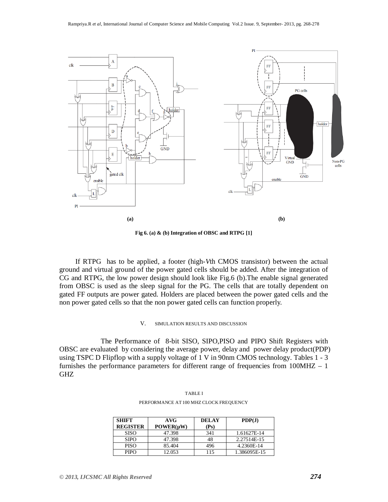

**Fig 6. (a) & (b) Integration of OBSC and RTPG [1]**

 If RTPG has to be applied, a footer (high-*V*th CMOS transistor) between the actual ground and virtual ground of the power gated cells should be added. After the integration of CG and RTPG, the low power design should look like Fig.6 (b).The enable signal generated from OBSC is used as the sleep signal for the PG. The cells that are totally dependent on gated FF outputs are power gated. Holders are placed between the power gated cells and the non power gated cells so that the non power gated cells can function properly.

### V. SIMULATION RESULTS AND DISCUSSION

 The Performance of 8-bit SISO, SIPO,PISO and PIPO Shift Registers with OBSC are evaluated by considering the average power, delay and power delay product(PDP) using TSPC D Flipflop with a supply voltage of 1 V in 90nm CMOS technology. Tables 1 - 3 furnishes the performance parameters for different range of frequencies from 100MHZ – 1 GHZ

| <b>SHIFT</b><br><b>REGISTER</b> | AVG<br>POWER(uW) | <b>DELAY</b><br>(Ps) | PDP(J)       |
|---------------------------------|------------------|----------------------|--------------|
| <b>SISO</b>                     | 47.398           | 341                  | 1.61627E-14  |
| <b>SIPO</b>                     | 47.398           | 48                   | 2.27514E-15  |
| <b>PISO</b>                     | 85.404           | 496                  | 4.2360E-14   |
| <b>PIPO</b>                     | 12.053           | 115                  | 1.386095E-15 |

TABLE I PERFORMANCE AT 100 MHZ CLOCK FREQUENCY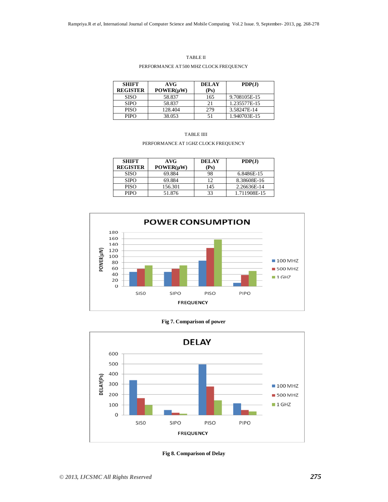#### TABLE II

## PERFORMANCE AT 500 MHZ CLOCK FREQUENCY

| <b>SHIFT</b><br><b>REGISTER</b> | AVG<br>POWER(uW) | <b>DELAY</b><br>(Ps) | PDP(J)       |
|---------------------------------|------------------|----------------------|--------------|
| <b>SISO</b>                     | 58.837           | 165                  | 9.708105E-15 |
| <b>SIPO</b>                     | 58.837           |                      | 1.235577E-15 |
| <b>PISO</b>                     | 128.404          | 279                  | 3.58247E-14  |
| <b>PIPO</b>                     | 38.053           | 51                   | 1.940703E-15 |

| TABLE IIII                          |  |
|-------------------------------------|--|
| PERFORMANCE AT 1GHZ CLOCK FREQUENCY |  |

| <b>SHIFT</b><br><b>REGISTER</b> | AVG<br>POWER(uW) | <b>DELAY</b><br>(Ps) | PDP(J)       |
|---------------------------------|------------------|----------------------|--------------|
| <b>SISO</b>                     | 69.884           | 98                   | 6.8486E-15   |
| <b>SIPO</b>                     | 69.884           | 12                   | 8.38608E-16  |
| <b>PISO</b>                     | 156.301          | 145                  | 2.26636E-14  |
| <b>PIPO</b>                     | 51.876           | 33                   | 1.711908E-15 |



**Fig 7. Comparison of power**



**Fig 8. Comparison of Delay**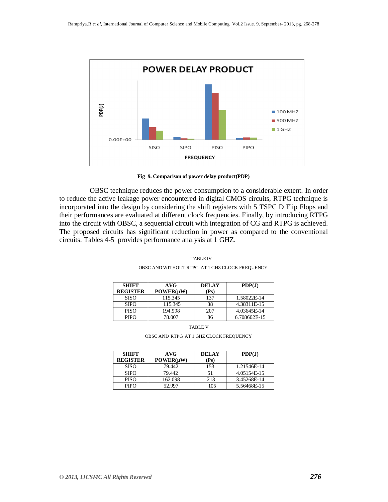

**Fig 9. Comparison of power delay product(PDP)**

 OBSC technique reduces the power consumption to a considerable extent. In order to reduce the active leakage power encountered in digital CMOS circuits, RTPG technique is incorporated into the design by considering the shift registers with 5 TSPC D Flip Flops and their performances are evaluated at different clock frequencies. Finally, by introducing RTPG into the circuit with OBSC, a sequential circuit with integration of CG and RTPG is achieved. The proposed circuits has significant reduction in power as compared to the conventional circuits. Tables 4-5 provides performance analysis at 1 GHZ.

| <b>SHIFT</b><br><b>REGISTER</b> | AVG<br>POWER(uW) | <b>DELAY</b><br>(Ps) | PDP(J)       |
|---------------------------------|------------------|----------------------|--------------|
| <b>SISO</b>                     | 115.345          | 137                  | 1.58022E-14  |
| <b>SIPO</b>                     | 115.345          | 38                   | 4.38311E-15  |
| <b>PISO</b>                     | 194.998          | 207                  | 4.03645E-14  |
| <b>PIPO</b>                     | 78.007           |                      | 6.708602E-15 |

 TABLE IV OBSC AND WITHOUT RTPG AT 1 GHZ CLOCK FREQUENCY

TABLE V

OBSC AND RTPG AT 1 GHZ CLOCK FREQUENCY

| <b>SHIFT</b><br><b>REGISTER</b> | AVG<br>POWER(uW) | <b>DELAY</b><br>(Ps) | PDP(J)      |
|---------------------------------|------------------|----------------------|-------------|
| <b>SISO</b>                     | 79.442           | 153                  | 1.21546E-14 |
| <b>SIPO</b>                     | 79.442           |                      | 4.05154E-15 |
| <b>PISO</b>                     | 162.098          | 213                  | 3.45268E-14 |
| <b>PIPO</b>                     | 52.997           | 105                  | 5.56468E-15 |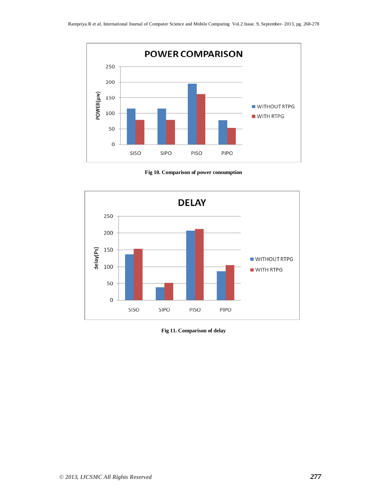

**Fig 10. Comparison of power consumption**



**Fig 11. Comparison of delay**